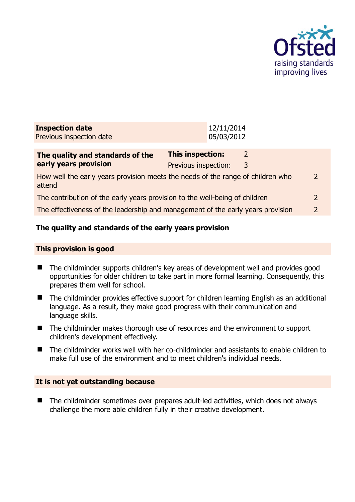

| <b>Inspection date</b><br>Previous inspection date                                        |                                                 | 12/11/2014<br>05/03/2012 |                    |               |
|-------------------------------------------------------------------------------------------|-------------------------------------------------|--------------------------|--------------------|---------------|
| The quality and standards of the<br>early years provision                                 | <b>This inspection:</b><br>Previous inspection: |                          | $\mathcal{L}$<br>3 |               |
| How well the early years provision meets the needs of the range of children who<br>attend |                                                 |                          |                    | $\mathcal{L}$ |
| The contribution of the early years provision to the well-being of children               |                                                 |                          |                    | $\mathcal{L}$ |
| The effectiveness of the leadership and management of the early years provision           |                                                 |                          |                    | 2             |
|                                                                                           |                                                 |                          |                    |               |

# **The quality and standards of the early years provision**

#### **This provision is good**

- The childminder supports children's key areas of development well and provides good opportunities for older children to take part in more formal learning. Consequently, this prepares them well for school.
- The childminder provides effective support for children learning English as an additional language. As a result, they make good progress with their communication and language skills.
- The childminder makes thorough use of resources and the environment to support children's development effectively.
- The childminder works well with her co-childminder and assistants to enable children to make full use of the environment and to meet children's individual needs.

## **It is not yet outstanding because**

■ The childminder sometimes over prepares adult-led activities, which does not always challenge the more able children fully in their creative development.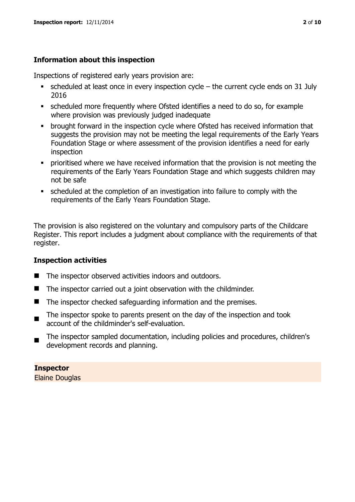## **Information about this inspection**

Inspections of registered early years provision are:

- scheduled at least once in every inspection cycle the current cycle ends on 31 July 2016
- scheduled more frequently where Ofsted identifies a need to do so, for example where provision was previously judged inadequate
- **•** brought forward in the inspection cycle where Ofsted has received information that suggests the provision may not be meeting the legal requirements of the Early Years Foundation Stage or where assessment of the provision identifies a need for early inspection
- **•** prioritised where we have received information that the provision is not meeting the requirements of the Early Years Foundation Stage and which suggests children may not be safe
- scheduled at the completion of an investigation into failure to comply with the requirements of the Early Years Foundation Stage.

The provision is also registered on the voluntary and compulsory parts of the Childcare Register. This report includes a judgment about compliance with the requirements of that register.

## **Inspection activities**

- The inspector observed activities indoors and outdoors.
- The inspector carried out a joint observation with the childminder.
- The inspector checked safeguarding information and the premises.
- $\blacksquare$ The inspector spoke to parents present on the day of the inspection and took account of the childminder's self-evaluation.
- $\blacksquare$ The inspector sampled documentation, including policies and procedures, children's development records and planning.

# **Inspector**

Elaine Douglas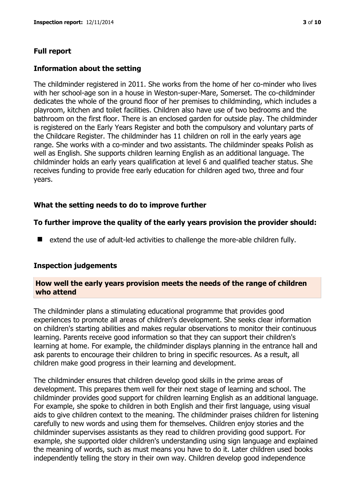## **Full report**

## **Information about the setting**

The childminder registered in 2011. She works from the home of her co-minder who lives with her school-age son in a house in Weston-super-Mare, Somerset. The co-childminder dedicates the whole of the ground floor of her premises to childminding, which includes a playroom, kitchen and toilet facilities. Children also have use of two bedrooms and the bathroom on the first floor. There is an enclosed garden for outside play. The childminder is registered on the Early Years Register and both the compulsory and voluntary parts of the Childcare Register. The childminder has 11 children on roll in the early years age range. She works with a co-minder and two assistants. The childminder speaks Polish as well as English. She supports children learning English as an additional language. The childminder holds an early years qualification at level 6 and qualified teacher status. She receives funding to provide free early education for children aged two, three and four years.

## **What the setting needs to do to improve further**

## **To further improve the quality of the early years provision the provider should:**

■ extend the use of adult-led activities to challenge the more-able children fully.

#### **Inspection judgements**

#### **How well the early years provision meets the needs of the range of children who attend**

The childminder plans a stimulating educational programme that provides good experiences to promote all areas of children's development. She seeks clear information on children's starting abilities and makes regular observations to monitor their continuous learning. Parents receive good information so that they can support their children's learning at home. For example, the childminder displays planning in the entrance hall and ask parents to encourage their children to bring in specific resources. As a result, all children make good progress in their learning and development.

The childminder ensures that children develop good skills in the prime areas of development. This prepares them well for their next stage of learning and school. The childminder provides good support for children learning English as an additional language. For example, she spoke to children in both English and their first language, using visual aids to give children context to the meaning. The childminder praises children for listening carefully to new words and using them for themselves. Children enjoy stories and the childminder supervises assistants as they read to children providing good support. For example, she supported older children's understanding using sign language and explained the meaning of words, such as must means you have to do it. Later children used books independently telling the story in their own way. Children develop good independence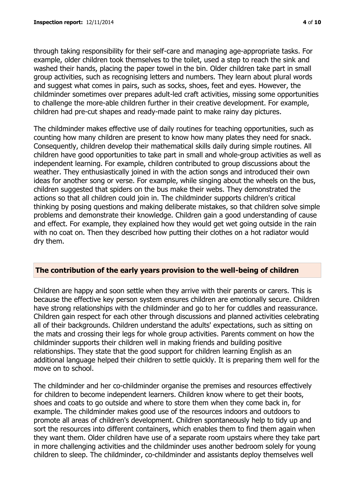through taking responsibility for their self-care and managing age-appropriate tasks. For example, older children took themselves to the toilet, used a step to reach the sink and washed their hands, placing the paper towel in the bin. Older children take part in small group activities, such as recognising letters and numbers. They learn about plural words and suggest what comes in pairs, such as socks, shoes, feet and eyes. However, the childminder sometimes over prepares adult-led craft activities, missing some opportunities to challenge the more-able children further in their creative development. For example,

children had pre-cut shapes and ready-made paint to make rainy day pictures.

The childminder makes effective use of daily routines for teaching opportunities, such as counting how many children are present to know how many plates they need for snack. Consequently, children develop their mathematical skills daily during simple routines. All children have good opportunities to take part in small and whole-group activities as well as independent learning. For example, children contributed to group discussions about the weather. They enthusiastically joined in with the action songs and introduced their own ideas for another song or verse. For example, while singing about the wheels on the bus, children suggested that spiders on the bus make their webs. They demonstrated the actions so that all children could join in. The childminder supports children's critical thinking by posing questions and making deliberate mistakes, so that children solve simple problems and demonstrate their knowledge. Children gain a good understanding of cause and effect. For example, they explained how they would get wet going outside in the rain with no coat on. Then they described how putting their clothes on a hot radiator would dry them.

#### **The contribution of the early years provision to the well-being of children**

Children are happy and soon settle when they arrive with their parents or carers. This is because the effective key person system ensures children are emotionally secure. Children have strong relationships with the childminder and go to her for cuddles and reassurance. Children gain respect for each other through discussions and planned activities celebrating all of their backgrounds. Children understand the adults' expectations, such as sitting on the mats and crossing their legs for whole group activities. Parents comment on how the childminder supports their children well in making friends and building positive relationships. They state that the good support for children learning English as an additional language helped their children to settle quickly. It is preparing them well for the move on to school.

The childminder and her co-childminder organise the premises and resources effectively for children to become independent learners. Children know where to get their boots, shoes and coats to go outside and where to store them when they come back in, for example. The childminder makes good use of the resources indoors and outdoors to promote all areas of children's development. Children spontaneously help to tidy up and sort the resources into different containers, which enables them to find them again when they want them. Older children have use of a separate room upstairs where they take part in more challenging activities and the childminder uses another bedroom solely for young children to sleep. The childminder, co-childminder and assistants deploy themselves well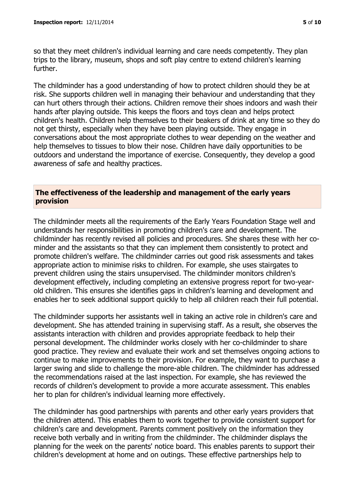so that they meet children's individual learning and care needs competently. They plan trips to the library, museum, shops and soft play centre to extend children's learning further.

The childminder has a good understanding of how to protect children should they be at risk. She supports children well in managing their behaviour and understanding that they can hurt others through their actions. Children remove their shoes indoors and wash their hands after playing outside. This keeps the floors and toys clean and helps protect children's health. Children help themselves to their beakers of drink at any time so they do not get thirsty, especially when they have been playing outside. They engage in conversations about the most appropriate clothes to wear depending on the weather and help themselves to tissues to blow their nose. Children have daily opportunities to be outdoors and understand the importance of exercise. Consequently, they develop a good awareness of safe and healthy practices.

### **The effectiveness of the leadership and management of the early years provision**

The childminder meets all the requirements of the Early Years Foundation Stage well and understands her responsibilities in promoting children's care and development. The childminder has recently revised all policies and procedures. She shares these with her cominder and the assistants so that they can implement them consistently to protect and promote children's welfare. The childminder carries out good risk assessments and takes appropriate action to minimise risks to children. For example, she uses stairgates to prevent children using the stairs unsupervised. The childminder monitors children's development effectively, including completing an extensive progress report for two-yearold children. This ensures she identifies gaps in children's learning and development and enables her to seek additional support quickly to help all children reach their full potential.

The childminder supports her assistants well in taking an active role in children's care and development. She has attended training in supervising staff. As a result, she observes the assistants interaction with children and provides appropriate feedback to help their personal development. The childminder works closely with her co-childminder to share good practice. They review and evaluate their work and set themselves ongoing actions to continue to make improvements to their provision. For example, they want to purchase a larger swing and slide to challenge the more-able children. The childminder has addressed the recommendations raised at the last inspection. For example, she has reviewed the records of children's development to provide a more accurate assessment. This enables her to plan for children's individual learning more effectively.

The childminder has good partnerships with parents and other early years providers that the children attend. This enables them to work together to provide consistent support for children's care and development. Parents comment positively on the information they receive both verbally and in writing from the childminder. The childminder displays the planning for the week on the parents' notice board. This enables parents to support their children's development at home and on outings. These effective partnerships help to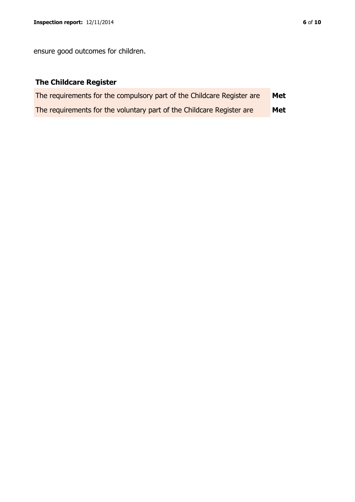ensure good outcomes for children.

# **The Childcare Register**

| The requirements for the compulsory part of the Childcare Register are | Met |
|------------------------------------------------------------------------|-----|
| The requirements for the voluntary part of the Childcare Register are  | Met |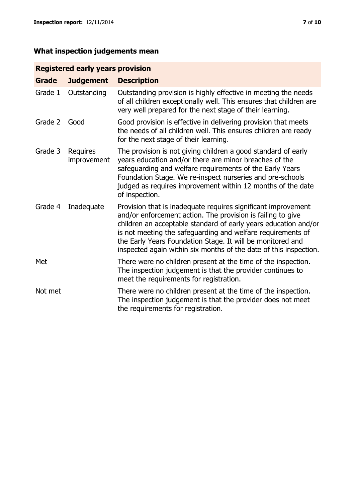# **Registered early years provision**

| <b>Grade</b> | <b>Judgement</b>               | <b>Description</b>                                                                                                                                                                                                                                                                                                                                                                                |
|--------------|--------------------------------|---------------------------------------------------------------------------------------------------------------------------------------------------------------------------------------------------------------------------------------------------------------------------------------------------------------------------------------------------------------------------------------------------|
| Grade 1      | Outstanding                    | Outstanding provision is highly effective in meeting the needs<br>of all children exceptionally well. This ensures that children are<br>very well prepared for the next stage of their learning.                                                                                                                                                                                                  |
| Grade 2      | Good                           | Good provision is effective in delivering provision that meets<br>the needs of all children well. This ensures children are ready<br>for the next stage of their learning.                                                                                                                                                                                                                        |
| Grade 3      | <b>Requires</b><br>improvement | The provision is not giving children a good standard of early<br>years education and/or there are minor breaches of the<br>safeguarding and welfare requirements of the Early Years<br>Foundation Stage. We re-inspect nurseries and pre-schools<br>judged as requires improvement within 12 months of the date<br>of inspection.                                                                 |
| Grade 4      | Inadequate                     | Provision that is inadequate requires significant improvement<br>and/or enforcement action. The provision is failing to give<br>children an acceptable standard of early years education and/or<br>is not meeting the safeguarding and welfare requirements of<br>the Early Years Foundation Stage. It will be monitored and<br>inspected again within six months of the date of this inspection. |
| Met          |                                | There were no children present at the time of the inspection.<br>The inspection judgement is that the provider continues to<br>meet the requirements for registration.                                                                                                                                                                                                                            |
| Not met      |                                | There were no children present at the time of the inspection.<br>The inspection judgement is that the provider does not meet<br>the requirements for registration.                                                                                                                                                                                                                                |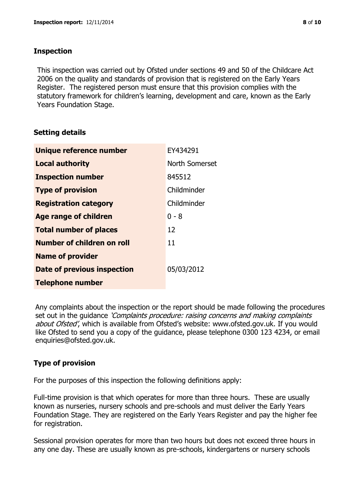## **Inspection**

This inspection was carried out by Ofsted under sections 49 and 50 of the Childcare Act 2006 on the quality and standards of provision that is registered on the Early Years Register. The registered person must ensure that this provision complies with the statutory framework for children's learning, development and care, known as the Early Years Foundation Stage.

## **Setting details**

| Unique reference number       | EY434291       |
|-------------------------------|----------------|
| <b>Local authority</b>        | North Somerset |
| <b>Inspection number</b>      | 845512         |
| <b>Type of provision</b>      | Childminder    |
| <b>Registration category</b>  | Childminder    |
| <b>Age range of children</b>  | $0 - 8$        |
| <b>Total number of places</b> | 12             |
| Number of children on roll    | 11             |
| <b>Name of provider</b>       |                |
| Date of previous inspection   | 05/03/2012     |
| <b>Telephone number</b>       |                |

Any complaints about the inspection or the report should be made following the procedures set out in the guidance *'Complaints procedure: raising concerns and making complaints* about Ofsted', which is available from Ofsted's website: www.ofsted.gov.uk. If you would like Ofsted to send you a copy of the guidance, please telephone 0300 123 4234, or email enquiries@ofsted.gov.uk.

## **Type of provision**

For the purposes of this inspection the following definitions apply:

Full-time provision is that which operates for more than three hours. These are usually known as nurseries, nursery schools and pre-schools and must deliver the Early Years Foundation Stage. They are registered on the Early Years Register and pay the higher fee for registration.

Sessional provision operates for more than two hours but does not exceed three hours in any one day. These are usually known as pre-schools, kindergartens or nursery schools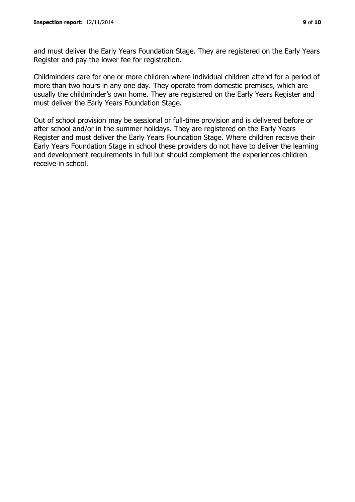and must deliver the Early Years Foundation Stage. They are registered on the Early Years Register and pay the lower fee for registration.

Childminders care for one or more children where individual children attend for a period of more than two hours in any one day. They operate from domestic premises, which are usually the childminder's own home. They are registered on the Early Years Register and must deliver the Early Years Foundation Stage.

Out of school provision may be sessional or full-time provision and is delivered before or after school and/or in the summer holidays. They are registered on the Early Years Register and must deliver the Early Years Foundation Stage. Where children receive their Early Years Foundation Stage in school these providers do not have to deliver the learning and development requirements in full but should complement the experiences children receive in school.